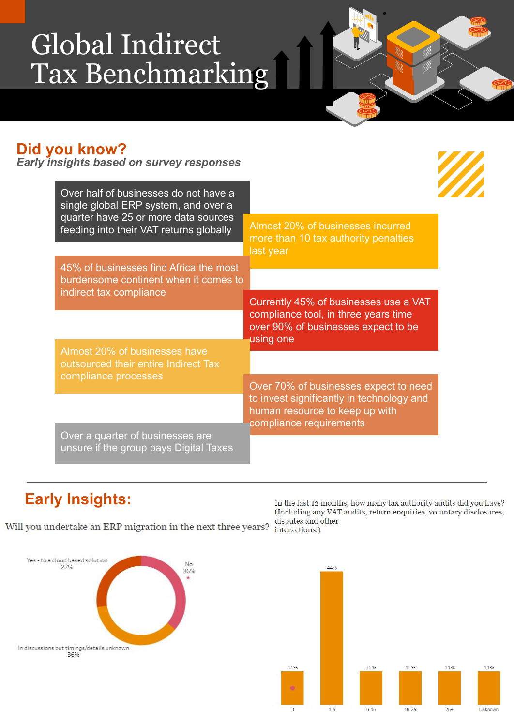# Global Indirect Tax Benchmarking

### **Did you know?**

*Early insights based on survey responses*

| Over half of businesses do not have a<br>single global ERP system, and over a<br>quarter have 25 or more data sources<br>feeding into their VAT returns globally |                                                                                                                                                 |
|------------------------------------------------------------------------------------------------------------------------------------------------------------------|-------------------------------------------------------------------------------------------------------------------------------------------------|
|                                                                                                                                                                  | Almost 20% of businesses incurred<br>more than 10 tax authority penalties<br>last year                                                          |
| 45% of businesses find Africa the most<br>burdensome continent when it comes to                                                                                  |                                                                                                                                                 |
| indirect tax compliance                                                                                                                                          | Currently 45% of businesses use a VAT<br>compliance tool, in three years time<br>over 90% of businesses expect to be<br>using one               |
| Almost 20% of businesses have<br>outsourced their entire Indirect Tax                                                                                            |                                                                                                                                                 |
| compliance processes                                                                                                                                             | Over 70% of businesses expect to need<br>to invest significantly in technology and<br>human resource to keep up with<br>compliance requirements |
| Over a quarter of businesses are<br>unsure if the group pays Digital Taxes                                                                                       |                                                                                                                                                 |

# **Early Insights:**

Will you undertake an ERP migration in the next three years? disputes and other interactions.)

In the last 12 months, how many tax authority audits did you have? (Including any VAT audits, return enquiries, voluntary disclosures,

44%



11% 11% 11% 11% 11%  $6 - 15$  $16 - 25$ Unknown  $1-5$  $25+$